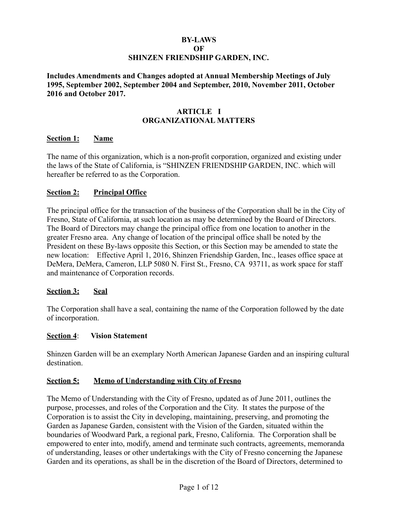### **BY-LAWS OF SHINZEN FRIENDSHIP GARDEN, INC.**

**Includes Amendments and Changes adopted at Annual Membership Meetings of July 1995, September 2002, September 2004 and September, 2010, November 2011, October 2016 and October 2017.**

# **ARTICLE I ORGANIZATIONAL MATTERS**

### **Section 1: Name**

The name of this organization, which is a non-profit corporation, organized and existing under the laws of the State of California, is "SHINZEN FRIENDSHIP GARDEN, INC. which will hereafter be referred to as the Corporation.

# **Section 2: Principal Office**

The principal office for the transaction of the business of the Corporation shall be in the City of Fresno, State of California, at such location as may be determined by the Board of Directors. The Board of Directors may change the principal office from one location to another in the greater Fresno area. Any change of location of the principal office shall be noted by the President on these By-laws opposite this Section, or this Section may be amended to state the new location: Effective April 1, 2016, Shinzen Friendship Garden, Inc., leases office space at DeMera, DeMera, Cameron, LLP 5080 N. First St., Fresno, CA 93711, as work space for staff and maintenance of Corporation records.

#### **Section 3: Seal**

The Corporation shall have a seal, containing the name of the Corporation followed by the date of incorporation.

#### **Section 4**: **Vision Statement**

Shinzen Garden will be an exemplary North American Japanese Garden and an inspiring cultural destination.

# **Section 5: Memo of Understanding with City of Fresno**

The Memo of Understanding with the City of Fresno, updated as of June 2011, outlines the purpose, processes, and roles of the Corporation and the City. It states the purpose of the Corporation is to assist the City in developing, maintaining, preserving, and promoting the Garden as Japanese Garden, consistent with the Vision of the Garden, situated within the boundaries of Woodward Park, a regional park, Fresno, California. The Corporation shall be empowered to enter into, modify, amend and terminate such contracts, agreements, memoranda of understanding, leases or other undertakings with the City of Fresno concerning the Japanese Garden and its operations, as shall be in the discretion of the Board of Directors, determined to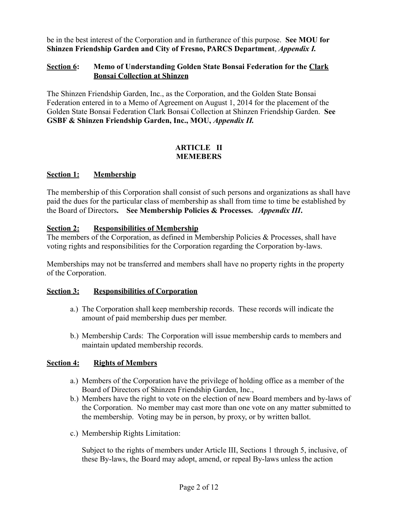be in the best interest of the Corporation and in furtherance of this purpose. **See MOU for Shinzen Friendship Garden and City of Fresno, PARCS Department**, *Appendix I.*

### **Section 6: Memo of Understanding Golden State Bonsai Federation for the Clark Bonsai Collection at Shinzen**

The Shinzen Friendship Garden, Inc., as the Corporation, and the Golden State Bonsai Federation entered in to a Memo of Agreement on August 1, 2014 for the placement of the Golden State Bonsai Federation Clark Bonsai Collection at Shinzen Friendship Garden. **See GSBF & Shinzen Friendship Garden, Inc., MOU,** *Appendix II.*

### **ARTICLE II MEMEBERS**

# **Section 1: Membership**

The membership of this Corporation shall consist of such persons and organizations as shall have paid the dues for the particular class of membership as shall from time to time be established by the Board of Directors**. See Membership Policies & Processes.** *Appendix III***.**

### **Section 2: Responsibilities of Membership**

The members of the Corporation, as defined in Membership Policies & Processes, shall have voting rights and responsibilities for the Corporation regarding the Corporation by-laws.

Memberships may not be transferred and members shall have no property rights in the property of the Corporation.

#### **Section 3: Responsibilities of Corporation**

- a.) The Corporation shall keep membership records. These records will indicate the amount of paid membership dues per member.
- b.) Membership Cards: The Corporation will issue membership cards to members and maintain updated membership records.

# **Section 4: Rights of Members**

- a.) Members of the Corporation have the privilege of holding office as a member of the Board of Directors of Shinzen Friendship Garden, Inc.,
- b.) Members have the right to vote on the election of new Board members and by-laws of the Corporation. No member may cast more than one vote on any matter submitted to the membership. Voting may be in person, by proxy, or by written ballot.
- c.) Membership Rights Limitation:

Subject to the rights of members under Article III, Sections 1 through 5, inclusive, of these By-laws, the Board may adopt, amend, or repeal By-laws unless the action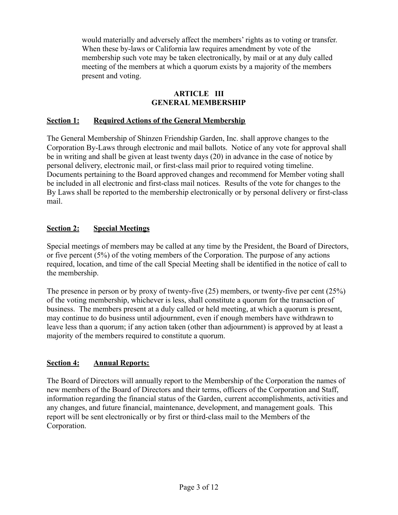would materially and adversely affect the members' rights as to voting or transfer. When these by-laws or California law requires amendment by vote of the membership such vote may be taken electronically, by mail or at any duly called meeting of the members at which a quorum exists by a majority of the members present and voting.

# **ARTICLE III GENERAL MEMBERSHIP**

# **Section 1: Required Actions of the General Membership**

The General Membership of Shinzen Friendship Garden, Inc. shall approve changes to the Corporation By-Laws through electronic and mail ballots. Notice of any vote for approval shall be in writing and shall be given at least twenty days (20) in advance in the case of notice by personal delivery, electronic mail, or first-class mail prior to required voting timeline. Documents pertaining to the Board approved changes and recommend for Member voting shall be included in all electronic and first-class mail notices. Results of the vote for changes to the By Laws shall be reported to the membership electronically or by personal delivery or first-class mail.

# **Section 2: Special Meetings**

Special meetings of members may be called at any time by the President, the Board of Directors, or five percent (5%) of the voting members of the Corporation. The purpose of any actions required, location, and time of the call Special Meeting shall be identified in the notice of call to the membership.

The presence in person or by proxy of twenty-five (25) members, or twenty-five per cent (25%) of the voting membership, whichever is less, shall constitute a quorum for the transaction of business. The members present at a duly called or held meeting, at which a quorum is present, may continue to do business until adjournment, even if enough members have withdrawn to leave less than a quorum; if any action taken (other than adjournment) is approved by at least a majority of the members required to constitute a quorum.

# **Section 4: Annual Reports:**

The Board of Directors will annually report to the Membership of the Corporation the names of new members of the Board of Directors and their terms, officers of the Corporation and Staff, information regarding the financial status of the Garden, current accomplishments, activities and any changes, and future financial, maintenance, development, and management goals. This report will be sent electronically or by first or third-class mail to the Members of the Corporation.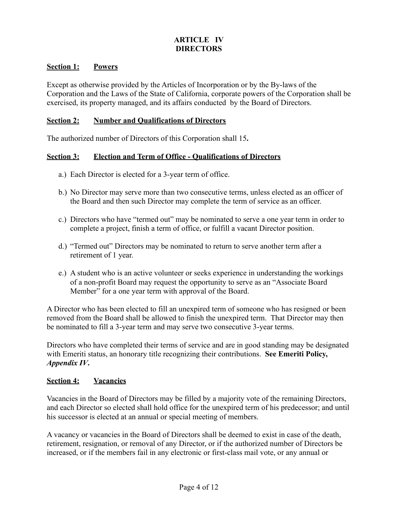# **ARTICLE IV DIRECTORS**

# **Section 1: Powers**

Except as otherwise provided by the Articles of Incorporation or by the By-laws of the Corporation and the Laws of the State of California, corporate powers of the Corporation shall be exercised, its property managed, and its affairs conducted by the Board of Directors.

#### **Section 2: Number and Qualifications of Directors**

The authorized number of Directors of this Corporation shall 15**.**

#### **Section 3: Election and Term of Office - Qualifications of Directors**

- a.) Each Director is elected for a 3-year term of office.
- b.) No Director may serve more than two consecutive terms, unless elected as an officer of the Board and then such Director may complete the term of service as an officer.
- c.) Directors who have "termed out" may be nominated to serve a one year term in order to complete a project, finish a term of office, or fulfill a vacant Director position.
- d.) "Termed out" Directors may be nominated to return to serve another term after a retirement of 1 year.
- e.) A student who is an active volunteer or seeks experience in understanding the workings of a non-profit Board may request the opportunity to serve as an "Associate Board Member" for a one year term with approval of the Board.

A Director who has been elected to fill an unexpired term of someone who has resigned or been removed from the Board shall be allowed to finish the unexpired term. That Director may then be nominated to fill a 3-year term and may serve two consecutive 3-year terms.

Directors who have completed their terms of service and are in good standing may be designated with Emeriti status, an honorary title recognizing their contributions. **See Emeriti Policy,** *Appendix IV***.**

#### **Section 4: Vacancies**

Vacancies in the Board of Directors may be filled by a majority vote of the remaining Directors, and each Director so elected shall hold office for the unexpired term of his predecessor; and until his successor is elected at an annual or special meeting of members.

A vacancy or vacancies in the Board of Directors shall be deemed to exist in case of the death, retirement, resignation, or removal of any Director, or if the authorized number of Directors be increased, or if the members fail in any electronic or first-class mail vote, or any annual or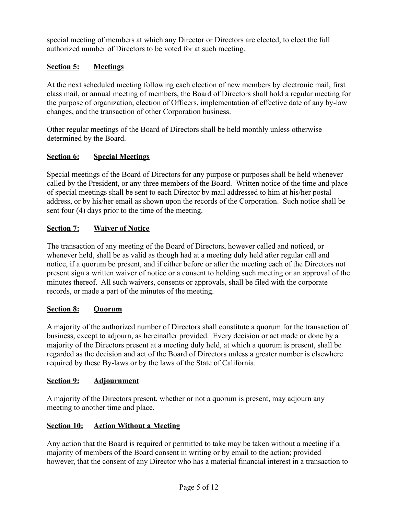special meeting of members at which any Director or Directors are elected, to elect the full authorized number of Directors to be voted for at such meeting.

# **Section 5: Meetings**

At the next scheduled meeting following each election of new members by electronic mail, first class mail, or annual meeting of members, the Board of Directors shall hold a regular meeting for the purpose of organization, election of Officers, implementation of effective date of any by-law changes, and the transaction of other Corporation business.

Other regular meetings of the Board of Directors shall be held monthly unless otherwise determined by the Board.

# **Section 6: Special Meetings**

Special meetings of the Board of Directors for any purpose or purposes shall be held whenever called by the President, or any three members of the Board. Written notice of the time and place of special meetings shall be sent to each Director by mail addressed to him at his/her postal address, or by his/her email as shown upon the records of the Corporation. Such notice shall be sent four (4) days prior to the time of the meeting.

# **Section 7: Waiver of Notice**

The transaction of any meeting of the Board of Directors, however called and noticed, or whenever held, shall be as valid as though had at a meeting duly held after regular call and notice, if a quorum be present, and if either before or after the meeting each of the Directors not present sign a written waiver of notice or a consent to holding such meeting or an approval of the minutes thereof. All such waivers, consents or approvals, shall be filed with the corporate records, or made a part of the minutes of the meeting.

# **Section 8: Quorum**

A majority of the authorized number of Directors shall constitute a quorum for the transaction of business, except to adjourn, as hereinafter provided. Every decision or act made or done by a majority of the Directors present at a meeting duly held, at which a quorum is present, shall be regarded as the decision and act of the Board of Directors unless a greater number is elsewhere required by these By-laws or by the laws of the State of California.

# **Section 9: Adjournment**

A majority of the Directors present, whether or not a quorum is present, may adjourn any meeting to another time and place.

# **Section 10: Action Without a Meeting**

Any action that the Board is required or permitted to take may be taken without a meeting if a majority of members of the Board consent in writing or by email to the action; provided however, that the consent of any Director who has a material financial interest in a transaction to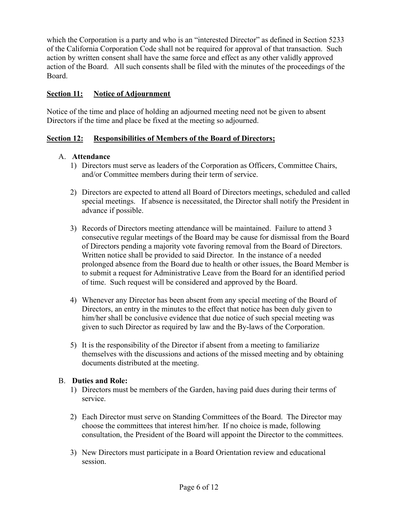which the Corporation is a party and who is an "interested Director" as defined in Section 5233 of the California Corporation Code shall not be required for approval of that transaction. Such action by written consent shall have the same force and effect as any other validly approved action of the Board. All such consents shall be filed with the minutes of the proceedings of the Board.

# **Section 11: Notice of Adjournment**

Notice of the time and place of holding an adjourned meeting need not be given to absent Directors if the time and place be fixed at the meeting so adjourned.

# **Section 12: Responsibilities of Members of the Board of Directors;**

# A. **Attendance**

- 1) Directors must serve as leaders of the Corporation as Officers, Committee Chairs, and/or Committee members during their term of service.
- 2) Directors are expected to attend all Board of Directors meetings, scheduled and called special meetings. If absence is necessitated, the Director shall notify the President in advance if possible.
- 3) Records of Directors meeting attendance will be maintained. Failure to attend 3 consecutive regular meetings of the Board may be cause for dismissal from the Board of Directors pending a majority vote favoring removal from the Board of Directors. Written notice shall be provided to said Director. In the instance of a needed prolonged absence from the Board due to health or other issues, the Board Member is to submit a request for Administrative Leave from the Board for an identified period of time. Such request will be considered and approved by the Board.
- 4) Whenever any Director has been absent from any special meeting of the Board of Directors, an entry in the minutes to the effect that notice has been duly given to him/her shall be conclusive evidence that due notice of such special meeting was given to such Director as required by law and the By-laws of the Corporation.
- 5) It is the responsibility of the Director if absent from a meeting to familiarize themselves with the discussions and actions of the missed meeting and by obtaining documents distributed at the meeting.

# B. **Duties and Role:**

- 1) Directors must be members of the Garden, having paid dues during their terms of service.
- 2) Each Director must serve on Standing Committees of the Board. The Director may choose the committees that interest him/her. If no choice is made, following consultation, the President of the Board will appoint the Director to the committees.
- 3) New Directors must participate in a Board Orientation review and educational session.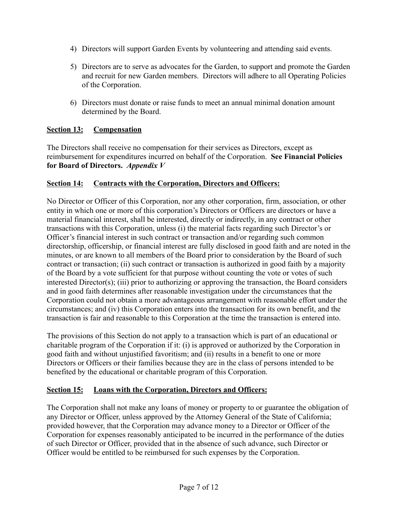- 4) Directors will support Garden Events by volunteering and attending said events.
- 5) Directors are to serve as advocates for the Garden, to support and promote the Garden and recruit for new Garden members. Directors will adhere to all Operating Policies of the Corporation.
- 6) Directors must donate or raise funds to meet an annual minimal donation amount determined by the Board.

# **Section 13: Compensation**

The Directors shall receive no compensation for their services as Directors, except as reimbursement for expenditures incurred on behalf of the Corporation. **See Financial Policies for Board of Directors.** *Appendix V*

### **Section 14: Contracts with the Corporation, Directors and Officers:**

No Director or Officer of this Corporation, nor any other corporation, firm, association, or other entity in which one or more of this corporation's Directors or Officers are directors or have a material financial interest, shall be interested, directly or indirectly, in any contract or other transactions with this Corporation, unless (i) the material facts regarding such Director's or Officer's financial interest in such contract or transaction and/or regarding such common directorship, officership, or financial interest are fully disclosed in good faith and are noted in the minutes, or are known to all members of the Board prior to consideration by the Board of such contract or transaction; (ii) such contract or transaction is authorized in good faith by a majority of the Board by a vote sufficient for that purpose without counting the vote or votes of such interested Director(s); (iii) prior to authorizing or approving the transaction, the Board considers and in good faith determines after reasonable investigation under the circumstances that the Corporation could not obtain a more advantageous arrangement with reasonable effort under the circumstances; and (iv) this Corporation enters into the transaction for its own benefit, and the transaction is fair and reasonable to this Corporation at the time the transaction is entered into.

The provisions of this Section do not apply to a transaction which is part of an educational or charitable program of the Corporation if it: (i) is approved or authorized by the Corporation in good faith and without unjustified favoritism; and (ii) results in a benefit to one or more Directors or Officers or their families because they are in the class of persons intended to be benefited by the educational or charitable program of this Corporation.

# **Section 15: Loans with the Corporation, Directors and Officers:**

The Corporation shall not make any loans of money or property to or guarantee the obligation of any Director or Officer, unless approved by the Attorney General of the State of California; provided however, that the Corporation may advance money to a Director or Officer of the Corporation for expenses reasonably anticipated to be incurred in the performance of the duties of such Director or Officer, provided that in the absence of such advance, such Director or Officer would be entitled to be reimbursed for such expenses by the Corporation.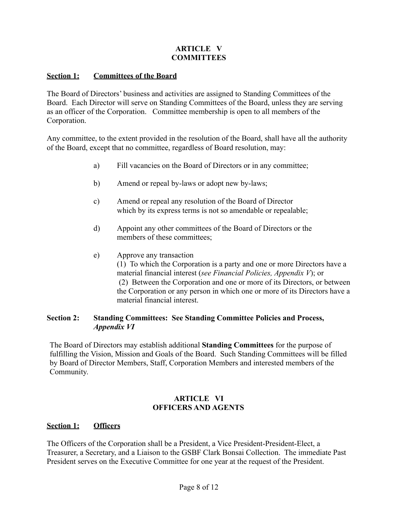# **ARTICLE V COMMITTEES**

### **Section 1: Committees of the Board**

The Board of Directors' business and activities are assigned to Standing Committees of the Board. Each Director will serve on Standing Committees of the Board, unless they are serving as an officer of the Corporation. Committee membership is open to all members of the Corporation.

Any committee, to the extent provided in the resolution of the Board, shall have all the authority of the Board, except that no committee, regardless of Board resolution, may:

- a) Fill vacancies on the Board of Directors or in any committee;
- b) Amend or repeal by-laws or adopt new by-laws;
- c) Amend or repeal any resolution of the Board of Director which by its express terms is not so amendable or repealable;
- d) Appoint any other committees of the Board of Directors or the members of these committees;
- e) Approve any transaction (1) To which the Corporation is a party and one or more Directors have a material financial interest (*see Financial Policies, Appendix V*); or (2) Between the Corporation and one or more of its Directors, or between the Corporation or any person in which one or more of its Directors have a material financial interest.

# **Section 2: Standing Committees: See Standing Committee Policies and Process,** *Appendix VI*

The Board of Directors may establish additional **Standing Committees** for the purpose of fulfilling the Vision, Mission and Goals of the Board. Such Standing Committees will be filled by Board of Director Members, Staff, Corporation Members and interested members of the Community.

# **ARTICLE VI OFFICERS AND AGENTS**

# **Section 1: Officers**

The Officers of the Corporation shall be a President, a Vice President-President-Elect, a Treasurer, a Secretary, and a Liaison to the GSBF Clark Bonsai Collection. The immediate Past President serves on the Executive Committee for one year at the request of the President.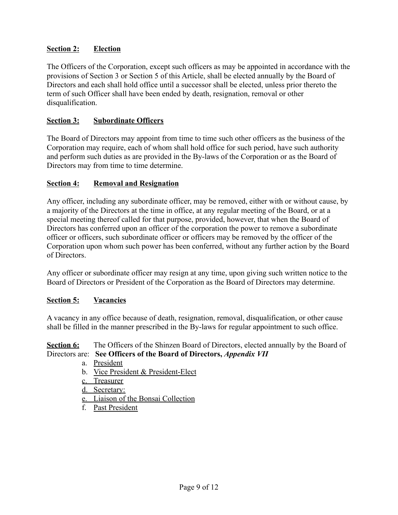# **Section 2: Election**

The Officers of the Corporation, except such officers as may be appointed in accordance with the provisions of Section 3 or Section 5 of this Article, shall be elected annually by the Board of Directors and each shall hold office until a successor shall be elected, unless prior thereto the term of such Officer shall have been ended by death, resignation, removal or other disqualification.

### **Section 3: Subordinate Officers**

The Board of Directors may appoint from time to time such other officers as the business of the Corporation may require, each of whom shall hold office for such period, have such authority and perform such duties as are provided in the By-laws of the Corporation or as the Board of Directors may from time to time determine.

### **Section 4: Removal and Resignation**

Any officer, including any subordinate officer, may be removed, either with or without cause, by a majority of the Directors at the time in office, at any regular meeting of the Board, or at a special meeting thereof called for that purpose, provided, however, that when the Board of Directors has conferred upon an officer of the corporation the power to remove a subordinate officer or officers, such subordinate officer or officers may be removed by the officer of the Corporation upon whom such power has been conferred, without any further action by the Board of Directors.

Any officer or subordinate officer may resign at any time, upon giving such written notice to the Board of Directors or President of the Corporation as the Board of Directors may determine.

# **Section 5: Vacancies**

A vacancy in any office because of death, resignation, removal, disqualification, or other cause shall be filled in the manner prescribed in the By-laws for regular appointment to such office.

# **Section 6:** The Officers of the Shinzen Board of Directors, elected annually by the Board of Directors are: **See Officers of the Board of Directors,** *Appendix VII*

- a. President
- b. Vice President & President-Elect
- c. Treasurer
- d. Secretary:
- e. Liaison of the Bonsai Collection
- f. Past President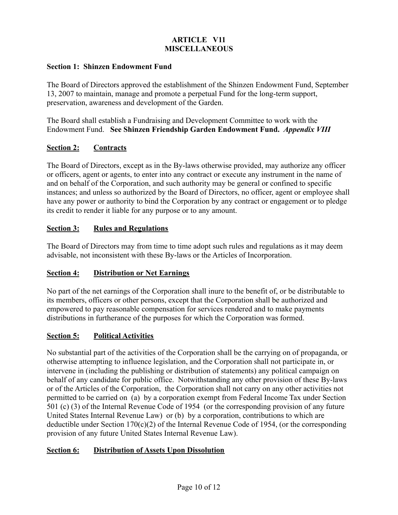# **ARTICLE V11 MISCELLANEOUS**

#### **Section 1: Shinzen Endowment Fund**

The Board of Directors approved the establishment of the Shinzen Endowment Fund, September 13, 2007 to maintain, manage and promote a perpetual Fund for the long-term support, preservation, awareness and development of the Garden.

The Board shall establish a Fundraising and Development Committee to work with the Endowment Fund. **See Shinzen Friendship Garden Endowment Fund.** *Appendix VIII*

# **Section 2: Contracts**

The Board of Directors, except as in the By-laws otherwise provided, may authorize any officer or officers, agent or agents, to enter into any contract or execute any instrument in the name of and on behalf of the Corporation, and such authority may be general or confined to specific instances; and unless so authorized by the Board of Directors, no officer, agent or employee shall have any power or authority to bind the Corporation by any contract or engagement or to pledge its credit to render it liable for any purpose or to any amount.

# **Section 3: Rules and Regulations**

The Board of Directors may from time to time adopt such rules and regulations as it may deem advisable, not inconsistent with these By-laws or the Articles of Incorporation.

# **Section 4: Distribution or Net Earnings**

No part of the net earnings of the Corporation shall inure to the benefit of, or be distributable to its members, officers or other persons, except that the Corporation shall be authorized and empowered to pay reasonable compensation for services rendered and to make payments distributions in furtherance of the purposes for which the Corporation was formed.

# **Section 5: Political Activities**

No substantial part of the activities of the Corporation shall be the carrying on of propaganda, or otherwise attempting to influence legislation, and the Corporation shall not participate in, or intervene in (including the publishing or distribution of statements) any political campaign on behalf of any candidate for public office. Notwithstanding any other provision of these By-laws or of the Articles of the Corporation, the Corporation shall not carry on any other activities not permitted to be carried on (a) by a corporation exempt from Federal Income Tax under Section 501 (c) (3) of the Internal Revenue Code of 1954 (or the corresponding provision of any future United States Internal Revenue Law) or (b) by a corporation, contributions to which are deductible under Section 170(c)(2) of the Internal Revenue Code of 1954, (or the corresponding provision of any future United States Internal Revenue Law).

# **Section 6: Distribution of Assets Upon Dissolution**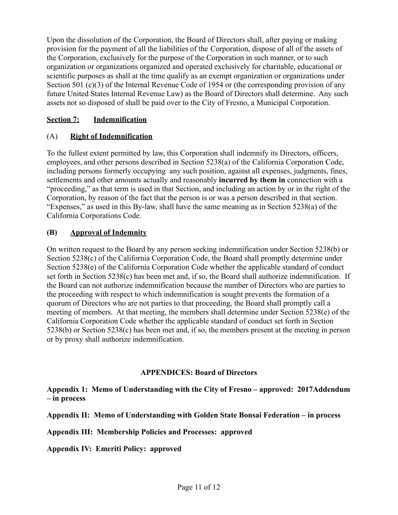Upon the dissolution of the Corporation, the Board of Directors shall, after paying or making provision for the payment of all the liabilities of the Corporation, dispose of all of the assets of the Corporation, exclusively for the purpose of the Corporation in such manner, or to such organization or organizations organized and operated exclusively for charitable, educational or scientific purposes as shall at the time qualify as an exempt organization or organizations under Section 501 (c)(3) of the Internal Revenue Code of 1954 or (the corresponding provision of any future United States Internal Revenue Law) as the Board of Directors shall determine. Any such assets not so disposed of shall be paid over to the City of Fresno, a Municipal Corporation.

# **Section 7: Indemnification**

# (A) **Right of Indemnification**

To the fullest extent permitted by law, this Corporation shall indemnify its Directors, officers, employees, and other persons described in Section 5238(a) of the California Corporation Code, including persons formerly occupying any such position, against all expenses, judgments, fines, settlements and other amounts actually and reasonably **incurred by them in** connection with a "proceeding," as that term is used in that Section, and including an action by or in the right of the Corporation, by reason of the fact that the person is or was a person described in that section. "Expenses," as used in this By-law, shall have the same meaning as in Section 5238(a) of the California Corporations Code.

# **(B) Approval of Indemnity**

On written request to the Board by any person seeking indemnification under Section 5238(b) or Section 5238(c) of the California Corporation Code, the Board shall promptly determine under Section 5238(e) of the California Corporation Code whether the applicable standard of conduct set forth in Section 5238(c) has been met and, if so, the Board shall authorize indemnification. If the Board can not authorize indemnification because the number of Directors who are parties to the proceeding with respect to which indemnification is sought prevents the formation of a quorum of Directors who are not parties to that proceeding, the Board shall promptly call a meeting of members. At that meeting, the members shall determine under Section 5238(e) of the California Corporation Code whether the applicable standard of conduct set forth in Section 5238(b) or Section 5238(c) has been met and, if so, the members present at the meeting in person or by proxy shall authorize indemnification.

# **APPENDICES: Board of Directors**

**Appendix 1: Memo of Understanding with the City of Fresno – approved: 2017Addendum – in process**

**Appendix II: Memo of Understanding with Golden State Bonsai Federation – in process**

**Appendix III: Membership Policies and Processes: approved**

**Appendix IV: Emeriti Policy: approved**